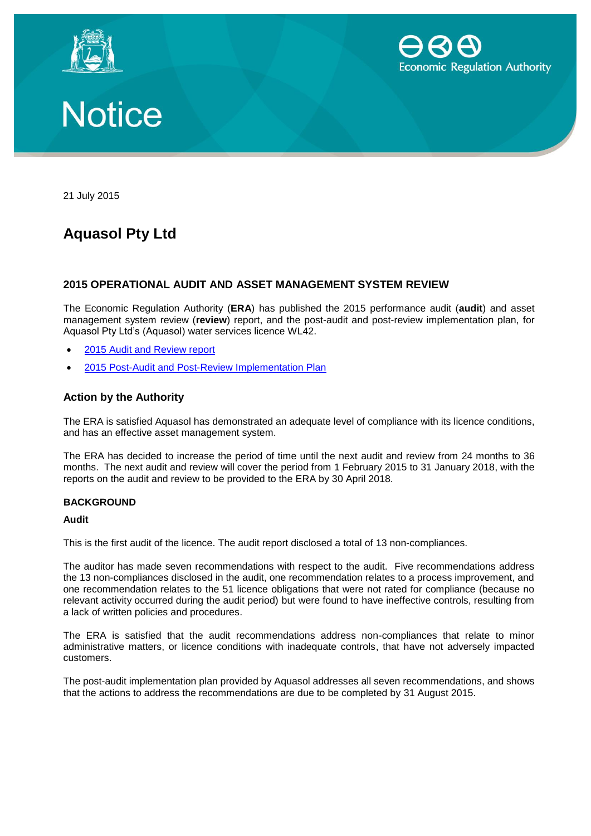





21 July 2015

## **Aquasol Pty Ltd**

### **2015 OPERATIONAL AUDIT AND ASSET MANAGEMENT SYSTEM REVIEW**

The Economic Regulation Authority (**ERA**) has published the 2015 performance audit (**audit**) and asset management system review (**review**) report, and the post-audit and post-review implementation plan, for Aquasol Pty Ltd's (Aquasol) water services licence WL42.

- 2015 [Audit and Review report](http://www.erawa.com.au/cproot/13769/2/2015%20Audit%20%20Review%20Report%20-%20Aquasol%20pty%20Ltd%20-%20WL042.pdf)
- 2015 [Post-Audit and Post-Review Implementation Plan](http://www.erawa.com.au/cproot/13770/2/Post-audit%20and%20Post-review%20implementation%20plan%20-%20Aquasol%20Pty%20Ltd%20-%20WL042.PDF)

#### **Action by the Authority**

The ERA is satisfied Aquasol has demonstrated an adequate level of compliance with its licence conditions, and has an effective asset management system.

The ERA has decided to increase the period of time until the next audit and review from 24 months to 36 months. The next audit and review will cover the period from 1 February 2015 to 31 January 2018, with the reports on the audit and review to be provided to the ERA by 30 April 2018.

#### **BACKGROUND**

#### **Audit**

This is the first audit of the licence. The audit report disclosed a total of 13 non-compliances.

The auditor has made seven recommendations with respect to the audit. Five recommendations address the 13 non-compliances disclosed in the audit, one recommendation relates to a process improvement, and one recommendation relates to the 51 licence obligations that were not rated for compliance (because no relevant activity occurred during the audit period) but were found to have ineffective controls, resulting from a lack of written policies and procedures.

The ERA is satisfied that the audit recommendations address non-compliances that relate to minor administrative matters, or licence conditions with inadequate controls, that have not adversely impacted customers.

The post-audit implementation plan provided by Aquasol addresses all seven recommendations, and shows that the actions to address the recommendations are due to be completed by 31 August 2015.